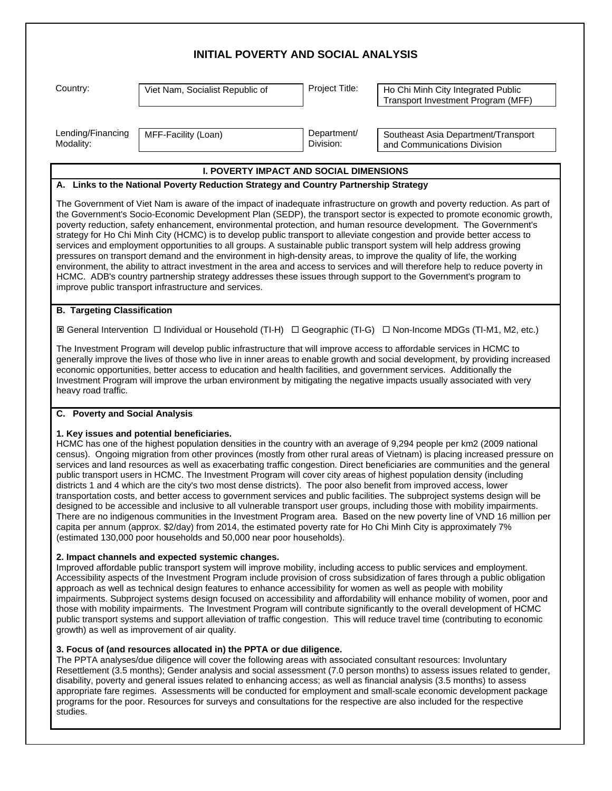# **INITIAL POVERTY AND SOCIAL ANALYSIS**

Country: Viet Nam, Socialist Republic of Project Title: Ho Chi Minh City Integrated Public Transport Investment Program (MFF)

Lending/Financing Modality:

MFF-Facility (Loan) Department/ Division:

Southeast Asia Department/Transport and Communications Division

## **I. POVERTY IMPACT AND SOCIAL DIMENSIONS**

## **A. Links to the National Poverty Reduction Strategy and Country Partnership Strategy**

The Government of Viet Nam is aware of the impact of inadequate infrastructure on growth and poverty reduction. As part of the Government's Socio-Economic Development Plan (SEDP), the transport sector is expected to promote economic growth, poverty reduction, safety enhancement, environmental protection, and human resource development. The Government's strategy for Ho Chi Minh City (HCMC) is to develop public transport to alleviate congestion and provide better access to services and employment opportunities to all groups. A sustainable public transport system will help address growing pressures on transport demand and the environment in high-density areas, to improve the quality of life, the working environment, the ability to attract investment in the area and access to services and will therefore help to reduce poverty in HCMC. ADB's country partnership strategy addresses these issues through support to the Government's program to improve public transport infrastructure and services.

### **B. Targeting Classification**

ý General Intervention ¨ Individual or Household (TI-H) ¨ Geographic (TI-G) ¨ Non-Income MDGs (TI-M1, M2, etc.)

The Investment Program will develop public infrastructure that will improve access to affordable services in HCMC to generally improve the lives of those who live in inner areas to enable growth and social development, by providing increased economic opportunities, better access to education and health facilities, and government services. Additionally the Investment Program will improve the urban environment by mitigating the negative impacts usually associated with very heavy road traffic.

#### **C. Poverty and Social Analysis**

#### **1. Key issues and potential beneficiaries.**

HCMC has one of the highest population densities in the country with an average of 9,294 people per km2 (2009 national census). Ongoing migration from other provinces (mostly from other rural areas of Vietnam) is placing increased pressure on services and land resources as well as exacerbating traffic congestion. Direct beneficiaries are communities and the general public transport users in HCMC. The Investment Program will cover city areas of highest population density (including districts 1 and 4 which are the city's two most dense districts). The poor also benefit from improved access, lower transportation costs, and better access to government services and public facilities. The subproject systems design will be designed to be accessible and inclusive to all vulnerable transport user groups, including those with mobility impairments. There are no indigenous communities in the Investment Program area. Based on the new poverty line of VND 16 million per capita per annum (approx. \$2/day) from 2014, the estimated poverty rate for Ho Chi Minh City is approximately 7% (estimated 130,000 poor households and 50,000 near poor households).

#### **2. Impact channels and expected systemic changes.**

Improved affordable public transport system will improve mobility, including access to public services and employment. Accessibility aspects of the Investment Program include provision of cross subsidization of fares through a public obligation approach as well as technical design features to enhance accessibility for women as well as people with mobility impairments. Subproject systems design focused on accessibility and affordability will enhance mobility of women, poor and those with mobility impairments. The Investment Program will contribute significantly to the overall development of HCMC public transport systems and support alleviation of traffic congestion. This will reduce travel time (contributing to economic growth) as well as improvement of air quality.

## **3. Focus of (and resources allocated in) the PPTA or due diligence.**

The PPTA analyses/due diligence will cover the following areas with associated consultant resources: Involuntary Resettlement (3.5 months); Gender analysis and social assessment (7.0 person months) to assess issues related to gender, disability, poverty and general issues related to enhancing access; as well as financial analysis (3.5 months) to assess appropriate fare regimes. Assessments will be conducted for employment and small-scale economic development package programs for the poor. Resources for surveys and consultations for the respective are also included for the respective studies.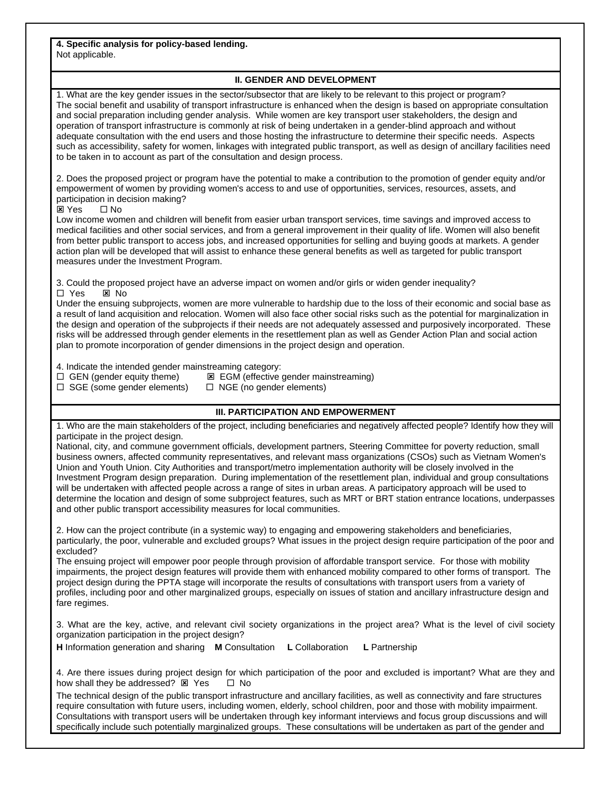**4. Specific analysis for policy-based lending.** Not applicable.

## **II. GENDER AND DEVELOPMENT**

1. What are the key gender issues in the sector/subsector that are likely to be relevant to this project or program? The social benefit and usability of transport infrastructure is enhanced when the design is based on appropriate consultation and social preparation including gender analysis. While women are key transport user stakeholders, the design and operation of transport infrastructure is commonly at risk of being undertaken in a gender-blind approach and without adequate consultation with the end users and those hosting the infrastructure to determine their specific needs. Aspects such as accessibility, safety for women, linkages with integrated public transport, as well as design of ancillary facilities need to be taken in to account as part of the consultation and design process.

2. Does the proposed project or program have the potential to make a contribution to the promotion of gender equity and/or empowerment of women by providing women's access to and use of opportunities, services, resources, assets, and participation in decision making?

 $\boxtimes$  Yes  $\Box$  No

Low income women and children will benefit from easier urban transport services, time savings and improved access to medical facilities and other social services, and from a general improvement in their quality of life. Women will also benefit from better public transport to access jobs, and increased opportunities for selling and buying goods at markets. A gender action plan will be developed that will assist to enhance these general benefits as well as targeted for public transport measures under the Investment Program.

3. Could the proposed project have an adverse impact on women and/or girls or widen gender inequality? □ Yes ⊠ No

Under the ensuing subprojects, women are more vulnerable to hardship due to the loss of their economic and social base as a result of land acquisition and relocation. Women will also face other social risks such as the potential for marginalization in the design and operation of the subprojects if their needs are not adequately assessed and purposively incorporated. These risks will be addressed through gender elements in the resettlement plan as well as Gender Action Plan and social action plan to promote incorporation of gender dimensions in the project design and operation.

4. Indicate the intended gender mainstreaming category:

 $\square$  GEN (gender equity theme)  $\square$  EGM (effective gender mainstreaming)

 $\Box$  SGE (some gender elements)  $\Box$  NGE (no gender elements)

## **III. PARTICIPATION AND EMPOWERMENT**

1. Who are the main stakeholders of the project, including beneficiaries and negatively affected people? Identify how they will participate in the project design.

National, city, and commune government officials, development partners, Steering Committee for poverty reduction, small business owners, affected community representatives, and relevant mass organizations (CSOs) such as Vietnam Women's Union and Youth Union. City Authorities and transport/metro implementation authority will be closely involved in the Investment Program design preparation. During implementation of the resettlement plan, individual and group consultations will be undertaken with affected people across a range of sites in urban areas. A participatory approach will be used to determine the location and design of some subproject features, such as MRT or BRT station entrance locations, underpasses and other public transport accessibility measures for local communities.

2. How can the project contribute (in a systemic way) to engaging and empowering stakeholders and beneficiaries, particularly, the poor, vulnerable and excluded groups? What issues in the project design require participation of the poor and excluded?

The ensuing project will empower poor people through provision of affordable transport service. For those with mobility impairments, the project design features will provide them with enhanced mobility compared to other forms of transport. The project design during the PPTA stage will incorporate the results of consultations with transport users from a variety of profiles, including poor and other marginalized groups, especially on issues of station and ancillary infrastructure design and fare regimes.

3. What are the key, active, and relevant civil society organizations in the project area? What is the level of civil society organization participation in the project design?

**H** Information generation and sharing **M** Consultation **L** Collaboration **L** Partnership

4. Are there issues during project design for which participation of the poor and excluded is important? What are they and how shall they be addressed?  $\boxtimes$  Yes  $\Box$  No

The technical design of the public transport infrastructure and ancillary facilities, as well as connectivity and fare structures require consultation with future users, including women, elderly, school children, poor and those with mobility impairment. Consultations with transport users will be undertaken through key informant interviews and focus group discussions and will specifically include such potentially marginalized groups. These consultations will be undertaken as part of the gender and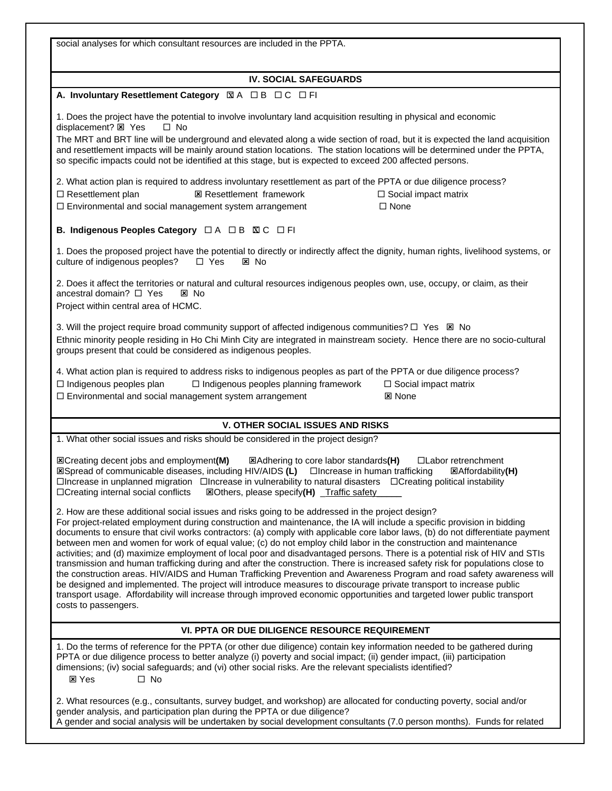social analyses for which consultant resources are included in the PPTA. **IV. SOCIAL SAFEGUARDS A. Involuntary Resettlement Category** 図 A □ B □ C □ FI 1. Does the project have the potential to involve involuntary land acquisition resulting in physical and economic displacement? **Ø** Yes □ No The MRT and BRT line will be underground and elevated along a wide section of road, but it is expected the land acquisition and resettlement impacts will be mainly around station locations. The station locations will be determined under the PPTA, so specific impacts could not be identified at this stage, but is expected to exceed 200 affected persons. 2. What action plan is required to address involuntary resettlement as part of the PPTA or due diligence process?  $\Box$  Resettlement plan  $\boxtimes$  Resettlement framework  $\Box$  Social impact matrix  $\square$  Environmental and social management system arrangement  $\square$  None **B. Indigenous Peoples Category** □ A □ B **KIC** □ FI 1. Does the proposed project have the potential to directly or indirectly affect the dignity, human rights, livelihood systems, or culture of indigenous peoples?  $\Box$  Yes  $\boxtimes$  No 2. Does it affect the territories or natural and cultural resources indigenous peoples own, use, occupy, or claim, as their ancestral domain?  $\Box$  Yes  $\Box$  No Project within central area of HCMC. 3. Will the project require broad community support of affected indigenous communities?  $\Box$  Yes  $\boxtimes$  No Ethnic minority people residing in Ho Chi Minh City are integrated in mainstream society. Hence there are no socio-cultural groups present that could be considered as indigenous peoples. 4. What action plan is required to address risks to indigenous peoples as part of the PPTA or due diligence process?  $\square$  Indigenous peoples plan  $\square$  Indigenous peoples planning framework  $\square$  Social impact matrix  $\square$  Environmental and social management system arrangement  $\square$  None **V. OTHER SOCIAL ISSUES AND RISKS** 1. What other social issues and risks should be considered in the project design? **Excreating decent jobs and employment(M)** <br> **EXAddress and EXAddress to core labor standards(H)** □Labor retrenchment **EXIMITY OF COMMUNICATE DISPONSIES** (L) □Increase in human trafficking **EXIMITY(H)**  $\Box$ Increase in unplanned migration  $\Box$ Increase in vulnerability to natural disasters  $\Box$ Creating political instability □Creating internal social conflicts **⊠Others, please specify(H)** Traffic safety 2. How are these additional social issues and risks going to be addressed in the project design? For project-related employment during construction and maintenance, the IA will include a specific provision in bidding documents to ensure that civil works contractors: (a) comply with applicable core labor laws, (b) do not differentiate payment between men and women for work of equal value; (c) do not employ child labor in the construction and maintenance activities; and (d) maximize employment of local poor and disadvantaged persons. There is a potential risk of HIV and STIs transmission and human trafficking during and after the construction. There is increased safety risk for populations close to the construction areas. HIV/AIDS and Human Trafficking Prevention and Awareness Program and road safety awareness will be designed and implemented. The project will introduce measures to discourage private transport to increase public transport usage. Affordability will increase through improved economic opportunities and targeted lower public transport costs to passengers. **VI. PPTA OR DUE DILIGENCE RESOURCE REQUIREMENT** 1. Do the terms of reference for the PPTA (or other due diligence) contain key information needed to be gathered during PPTA or due diligence process to better analyze (i) poverty and social impact; (ii) gender impact, (iii) participation dimensions; (iv) social safeguards; and (vi) other social risks. Are the relevant specialists identified? **⊠** Yes □ No 2. What resources (e.g., consultants, survey budget, and workshop) are allocated for conducting poverty, social and/or gender analysis, and participation plan during the PPTA or due diligence? A gender and social analysis will be undertaken by social development consultants (7.0 person months). Funds for related